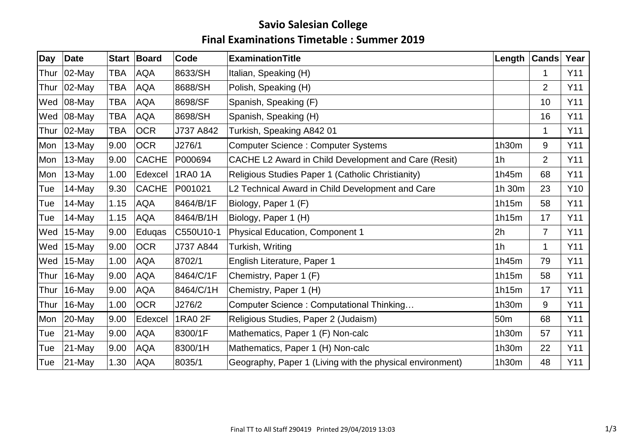## **Savio Salesian College Final Examinations Timetable : Summer 2019**

| Day  | Date           |                | Start Board  | Code           | <b>ExaminationTitle</b>                                   | Length         | <b>Cands</b>   | Year       |
|------|----------------|----------------|--------------|----------------|-----------------------------------------------------------|----------------|----------------|------------|
| Thur | $ 02-May $     | <b>TBA</b>     | <b>AQA</b>   | 8633/SH        | Italian, Speaking (H)                                     |                |                | Y11        |
| Thur | $ 02$ -May     | TBA            | <b>AQA</b>   | 8688/SH        | Polish, Speaking (H)                                      |                | 2              | Y11        |
| Wed  | $ 08-May $     | TBA            | <b>AQA</b>   | 8698/SF        | Spanish, Speaking (F)                                     |                | 10             | Y11        |
|      | Wed $ 08-May $ | TBA            | <b>AQA</b>   | 8698/SH        | Spanish, Speaking (H)                                     |                | 16             | Y11        |
| Thur | $ 02$ -May     | TBA            | <b>OCR</b>   | J737 A842      | Turkish, Speaking A842 01                                 |                | 1              | Y11        |
| Mon  | $ 13$ -May     | 9.00           | <b>OCR</b>   | J276/1         | <b>Computer Science: Computer Systems</b>                 | 1h30m          | 9              | Y11        |
| Mon  | 13-May         | 9.00           | <b>CACHE</b> | P000694        | CACHE L2 Award in Child Development and Care (Resit)      | 1 <sub>h</sub> | $\overline{2}$ | Y11        |
| Mon  | 13-May         | 1.00           | Edexcel      | <b>1RA0 1A</b> | Religious Studies Paper 1 (Catholic Christianity)         | 1h45m          | 68             | Y11        |
| Tue  | 14-May         | $ 9.30\rangle$ | <b>CACHE</b> | P001021        | L2 Technical Award in Child Development and Care          | 1h 30m         | 23             | Y10        |
| Tue  | 14-May         | 1.15           | <b>AQA</b>   | 8464/B/1F      | Biology, Paper 1 (F)                                      | 1h15m          | 58             | Y11        |
| Tue  | 14-May         | 1.15           | <b>AQA</b>   | 8464/B/1H      | Biology, Paper 1 (H)                                      | 1h15m          | 17             | Y11        |
| Wed  | $15$ -May      | 9.00           | Eduqas       | C550U10-1      | <b>Physical Education, Component 1</b>                    | 2h             | $\overline{7}$ | <b>Y11</b> |
| Wed  | 15-May         | 9.00           | <b>OCR</b>   | J737 A844      | Turkish, Writing                                          | 1 <sub>h</sub> | 1              | Y11        |
| Wed  | $ 15$ -May     | 1.00           | <b>AQA</b>   | 8702/1         | English Literature, Paper 1                               | 1h45m          | 79             | Y11        |
| Thur | $16$ -May      | 9.00           | <b>AQA</b>   | 8464/C/1F      | Chemistry, Paper 1 (F)                                    | 1h15m          | 58             | Y11        |
| Thur | 16-May         | 9.00           | <b>AQA</b>   | 8464/C/1H      | Chemistry, Paper 1 (H)                                    | 1h15m          | 17             | Y11        |
| Thur | $ 16$ -May     | 1.00           | <b>OCR</b>   | J276/2         | Computer Science: Computational Thinking                  | 1h30m          | 9              | Y11        |
| Mon  | $ 20-May $     | 9.00           | Edexcel      | 1RA0 2F        | Religious Studies, Paper 2 (Judaism)                      | 50m            | 68             | Y11        |
| Tue  | $ 21 - May$    | 9.00           | <b>AQA</b>   | 8300/1F        | Mathematics, Paper 1 (F) Non-calc                         | 1h30m          | 57             | <b>Y11</b> |
| Tue  | $ 21 - May$    | 9.00           | <b>AQA</b>   | 8300/1H        | Mathematics, Paper 1 (H) Non-calc                         | 1h30m          | 22             | Y11        |
| Tue  | $ 21 - May$    | 1.30           | AQA          | 8035/1         | Geography, Paper 1 (Living with the physical environment) | 1h30m          | 48             | Y11        |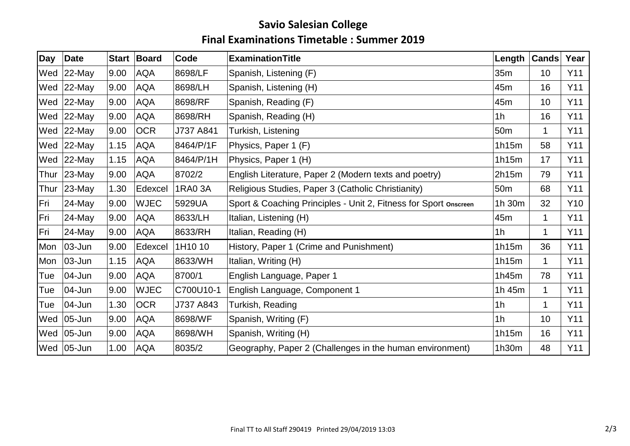## **Savio Salesian College Final Examinations Timetable : Summer 2019**

| Day  | Date            |      | Start Board | Code      | <b>ExaminationTitle</b>                                          | Length          | <b>Cands</b> | Year |
|------|-----------------|------|-------------|-----------|------------------------------------------------------------------|-----------------|--------------|------|
| Wed  | $ 22$ -May      | 9.00 | <b>AQA</b>  | 8698/LF   | Spanish, Listening (F)                                           | 35m             | 10           | Y11  |
| Wed  | $ 22$ -May      | 9.00 | <b>AQA</b>  | 8698/LH   | Spanish, Listening (H)                                           | 45m             | 16           | Y11  |
| Wed  | $ 22$ -May      | 9.00 | <b>AQA</b>  | 8698/RF   | Spanish, Reading (F)                                             | 45m             | 10           | Y11  |
|      | Wed $ 22$ -May  | 9.00 | <b>AQA</b>  | 8698/RH   | Spanish, Reading (H)                                             | 1 <sub>h</sub>  | 16           | Y11  |
|      | Wed $ 22$ -May  | 9.00 | <b>OCR</b>  | J737 A841 | Turkish, Listening                                               | 50 <sub>m</sub> | 1            | Y11  |
|      | Wed $ 22$ -May  | 1.15 | <b>AQA</b>  | 8464/P/1F | Physics, Paper 1 (F)                                             | 1h15m           | 58           | Y11  |
| Wed  | $ 22$ -May      | 1.15 | <b>AQA</b>  | 8464/P/1H | Physics, Paper 1 (H)                                             | 1h15m           | 17           | Y11  |
| Thur | $ 23$ -May      | 9.00 | <b>AQA</b>  | 8702/2    | English Literature, Paper 2 (Modern texts and poetry)            | 2h15m           | 79           | Y11  |
| Thur | $ 23$ -May      | 1.30 | Edexcel     | 1RA0 3A   | Religious Studies, Paper 3 (Catholic Christianity)               | 50 <sub>m</sub> | 68           | Y11  |
| Fri  | $24$ -May       | 9.00 | <b>WJEC</b> | 5929UA    | Sport & Coaching Principles - Unit 2, Fitness for Sport onscreen | 1h 30m          | 32           | Y10  |
| Fri  | $24$ -May       | 9.00 | <b>AQA</b>  | 8633/LH   | Italian, Listening (H)                                           | 45m             | 1            | Y11  |
| Fri  | $24$ -May       | 9.00 | <b>AQA</b>  | 8633/RH   | Italian, Reading (H)                                             | 1 <sub>h</sub>  | 1            | Y11  |
| Mon  | $ 03 - Jun $    | 9.00 | Edexcel     | 1H10 10   | History, Paper 1 (Crime and Punishment)                          | 1h15m           | 36           | Y11  |
| Mon  | $ 03 - Jun$     | 1.15 | <b>AQA</b>  | 8633/WH   | Italian, Writing (H)                                             | 1h15m           | 1            | Y11  |
| Tue  | $ 04 - Jun$     | 9.00 | <b>AQA</b>  | 8700/1    | English Language, Paper 1                                        | 1h45m           | 78           | Y11  |
| Tue  | $ 04 - Jun $    | 9.00 | <b>WJEC</b> | C700U10-1 | English Language, Component 1                                    | 1h 45m          | 1            | Y11  |
| Tue  | $ 04 - Jun $    | 1.30 | <b>OCR</b>  | J737 A843 | Turkish, Reading                                                 | 1 <sub>h</sub>  | 1            | Y11  |
|      | Wed $ 05$ -Jun  | 9.00 | <b>AQA</b>  | 8698/WF   | Spanish, Writing (F)                                             | 1 <sub>h</sub>  | 10           | Y11  |
|      | Wed 05-Jun      | 9.00 | <b>AQA</b>  | 8698/WH   | Spanish, Writing (H)                                             | 1h15m           | 16           | Y11  |
|      | Wed $ 05 - Jun$ | 1.00 | AQA         | 8035/2    | Geography, Paper 2 (Challenges in the human environment)         | 1h30m           | 48           | Y11  |